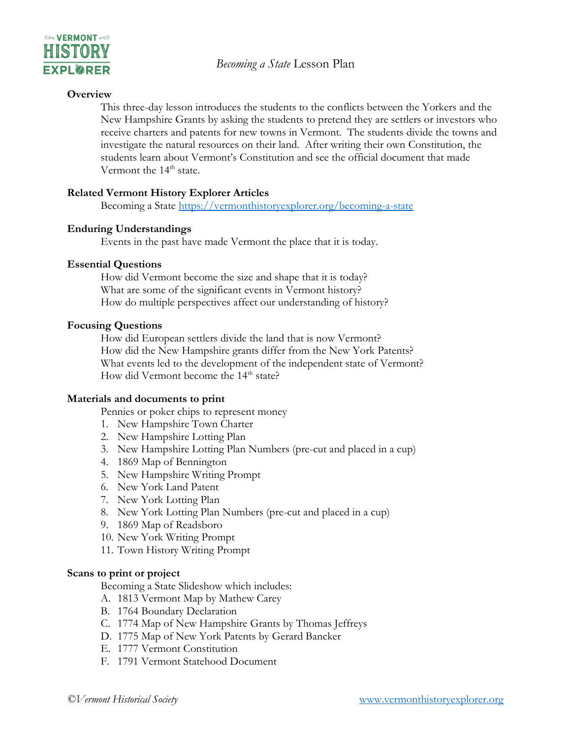

#### **Overview**

This three-day lesson introduces the students to the conflicts between the Yorkers and the New Hampshire Grants by asking the students to pretend they are settlers or investors who receive charters and patents for new towns in Vermont. The students divide the towns and investigate the natural resources on their land. After writing their own Constitution, the students learn about Vermont's Constitution and see the official document that made Vermont the 14<sup>th</sup> state.

#### **Related Vermont History Explorer Articles**

Becoming a State<https://vermonthistoryexplorer.org/becoming-a-state>

## **Enduring Understandings**

Events in the past have made Vermont the place that it is today.

## **Essential Questions**

How did Vermont become the size and shape that it is today? What are some of the significant events in Vermont history? How do multiple perspectives affect our understanding of history?

## **Focusing Questions**

How did European settlers divide the land that is now Vermont? How did the New Hampshire grants differ from the New York Patents? What events led to the development of the independent state of Vermont? How did Vermont become the 14<sup>th</sup> state?

### **Materials and documents to print**

Pennies or poker chips to represent money

- 1. New Hampshire Town Charter
- 2. New Hampshire Lotting Plan
- 3. New Hampshire Lotting Plan Numbers (pre-cut and placed in a cup)
- 4. 1869 Map of Bennington
- 5. New Hampshire Writing Prompt
- 6. New York Land Patent
- 7. New York Lotting Plan
- 8. New York Lotting Plan Numbers (pre-cut and placed in a cup)
- 9. 1869 Map of Readsboro
- 10. New York Writing Prompt
- 11. Town History Writing Prompt

## **Scans to print or project**

Becoming a State Slideshow which includes:

- A. 1813 Vermont Map by Mathew Carey
- B. 1764 Boundary Declaration
- C. 1774 Map of New Hampshire Grants by Thomas Jeffreys
- D. 1775 Map of New York Patents by Gerard Bancker
- E. 1777 Vermont Constitution
- F. 1791 Vermont Statehood Document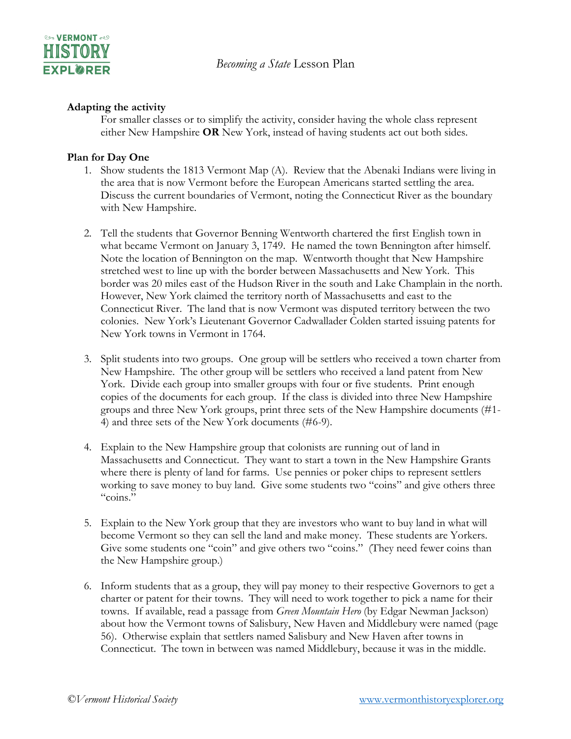

#### **Adapting the activity**

For smaller classes or to simplify the activity, consider having the whole class represent either New Hampshire **OR** New York, instead of having students act out both sides.

#### **Plan for Day One**

- 1. Show students the 1813 Vermont Map (A). Review that the Abenaki Indians were living in the area that is now Vermont before the European Americans started settling the area. Discuss the current boundaries of Vermont, noting the Connecticut River as the boundary with New Hampshire.
- 2. Tell the students that Governor Benning Wentworth chartered the first English town in what became Vermont on January 3, 1749. He named the town Bennington after himself. Note the location of Bennington on the map. Wentworth thought that New Hampshire stretched west to line up with the border between Massachusetts and New York. This border was 20 miles east of the Hudson River in the south and Lake Champlain in the north. However, New York claimed the territory north of Massachusetts and east to the Connecticut River. The land that is now Vermont was disputed territory between the two colonies. New York's Lieutenant Governor Cadwallader Colden started issuing patents for New York towns in Vermont in 1764.
- 3. Split students into two groups. One group will be settlers who received a town charter from New Hampshire. The other group will be settlers who received a land patent from New York. Divide each group into smaller groups with four or five students. Print enough copies of the documents for each group. If the class is divided into three New Hampshire groups and three New York groups, print three sets of the New Hampshire documents (#1- 4) and three sets of the New York documents (#6-9).
- 4. Explain to the New Hampshire group that colonists are running out of land in Massachusetts and Connecticut. They want to start a town in the New Hampshire Grants where there is plenty of land for farms. Use pennies or poker chips to represent settlers working to save money to buy land. Give some students two "coins" and give others three "coins."
- 5. Explain to the New York group that they are investors who want to buy land in what will become Vermont so they can sell the land and make money. These students are Yorkers. Give some students one "coin" and give others two "coins." (They need fewer coins than the New Hampshire group.)
- 6. Inform students that as a group, they will pay money to their respective Governors to get a charter or patent for their towns. They will need to work together to pick a name for their towns. If available, read a passage from *Green Mountain Hero* (by Edgar Newman Jackson) about how the Vermont towns of Salisbury, New Haven and Middlebury were named (page 56). Otherwise explain that settlers named Salisbury and New Haven after towns in Connecticut. The town in between was named Middlebury, because it was in the middle.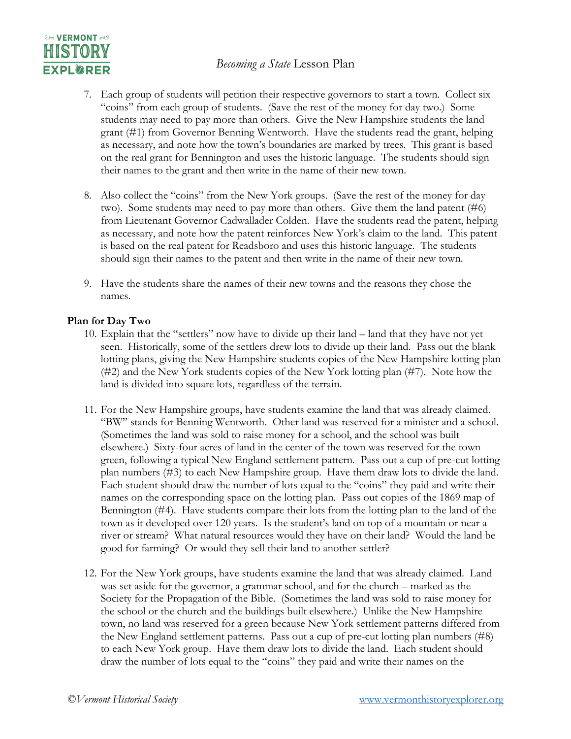# *Becoming a State* Lesson Plan



- 7. Each group of students will petition their respective governors to start a town. Collect six "coins" from each group of students. (Save the rest of the money for day two.) Some students may need to pay more than others. Give the New Hampshire students the land grant (#1) from Governor Benning Wentworth. Have the students read the grant, helping as necessary, and note how the town's boundaries are marked by trees. This grant is based on the real grant for Bennington and uses the historic language. The students should sign their names to the grant and then write in the name of their new town.
- 8. Also collect the "coins" from the New York groups. (Save the rest of the money for day two). Some students may need to pay more than others. Give them the land patent (#6) from Lieutenant Governor Cadwallader Colden. Have the students read the patent, helping as necessary, and note how the patent reinforces New York's claim to the land. This patent is based on the real patent for Readsboro and uses this historic language. The students should sign their names to the patent and then write in the name of their new town.
- 9. Have the students share the names of their new towns and the reasons they chose the names.

#### **Plan for Day Two**

- 10. Explain that the "settlers" now have to divide up their land land that they have not yet seen. Historically, some of the settlers drew lots to divide up their land. Pass out the blank lotting plans, giving the New Hampshire students copies of the New Hampshire lotting plan (#2) and the New York students copies of the New York lotting plan (#7). Note how the land is divided into square lots, regardless of the terrain.
- 11. For the New Hampshire groups, have students examine the land that was already claimed. "BW" stands for Benning Wentworth. Other land was reserved for a minister and a school. (Sometimes the land was sold to raise money for a school, and the school was built elsewhere.) Sixty-four acres of land in the center of the town was reserved for the town green, following a typical New England settlement pattern. Pass out a cup of pre-cut lotting plan numbers (#3) to each New Hampshire group. Have them draw lots to divide the land. Each student should draw the number of lots equal to the "coins" they paid and write their names on the corresponding space on the lotting plan. Pass out copies of the 1869 map of Bennington (#4). Have students compare their lots from the lotting plan to the land of the town as it developed over 120 years. Is the student's land on top of a mountain or near a river or stream? What natural resources would they have on their land? Would the land be good for farming? Or would they sell their land to another settler?
- 12. For the New York groups, have students examine the land that was already claimed. Land was set aside for the governor, a grammar school, and for the church – marked as the Society for the Propagation of the Bible. (Sometimes the land was sold to raise money for the school or the church and the buildings built elsewhere.) Unlike the New Hampshire town, no land was reserved for a green because New York settlement patterns differed from the New England settlement patterns. Pass out a cup of pre-cut lotting plan numbers (#8) to each New York group. Have them draw lots to divide the land. Each student should draw the number of lots equal to the "coins" they paid and write their names on the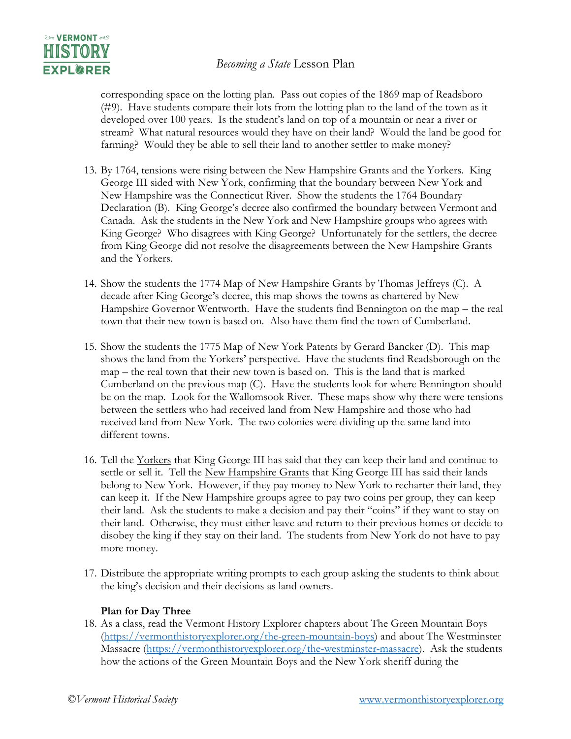# *Becoming a State* Lesson Plan



corresponding space on the lotting plan. Pass out copies of the 1869 map of Readsboro (#9). Have students compare their lots from the lotting plan to the land of the town as it developed over 100 years. Is the student's land on top of a mountain or near a river or stream? What natural resources would they have on their land? Would the land be good for farming? Would they be able to sell their land to another settler to make money?

- 13. By 1764, tensions were rising between the New Hampshire Grants and the Yorkers. King George III sided with New York, confirming that the boundary between New York and New Hampshire was the Connecticut River. Show the students the 1764 Boundary Declaration (B). King George's decree also confirmed the boundary between Vermont and Canada. Ask the students in the New York and New Hampshire groups who agrees with King George? Who disagrees with King George? Unfortunately for the settlers, the decree from King George did not resolve the disagreements between the New Hampshire Grants and the Yorkers.
- 14. Show the students the 1774 Map of New Hampshire Grants by Thomas Jeffreys (C). A decade after King George's decree, this map shows the towns as chartered by New Hampshire Governor Wentworth. Have the students find Bennington on the map – the real town that their new town is based on. Also have them find the town of Cumberland.
- 15. Show the students the 1775 Map of New York Patents by Gerard Bancker (D). This map shows the land from the Yorkers' perspective. Have the students find Readsborough on the map – the real town that their new town is based on. This is the land that is marked Cumberland on the previous map (C). Have the students look for where Bennington should be on the map. Look for the Wallomsook River. These maps show why there were tensions between the settlers who had received land from New Hampshire and those who had received land from New York. The two colonies were dividing up the same land into different towns.
- 16. Tell the <u>Yorkers</u> that King George III has said that they can keep their land and continue to settle or sell it. Tell the New Hampshire Grants that King George III has said their lands belong to New York. However, if they pay money to New York to recharter their land, they can keep it. If the New Hampshire groups agree to pay two coins per group, they can keep their land. Ask the students to make a decision and pay their "coins" if they want to stay on their land. Otherwise, they must either leave and return to their previous homes or decide to disobey the king if they stay on their land. The students from New York do not have to pay more money.
- 17. Distribute the appropriate writing prompts to each group asking the students to think about the king's decision and their decisions as land owners.

### **Plan for Day Three**

18. As a class, read the Vermont History Explorer chapters about The Green Mountain Boys [\(https://vermonthistoryexplorer.org/the-green-mountain-boys\)](https://vermonthistoryexplorer.org/the-green-mountain-boys) and about The Westminster Massacre [\(https://vermonthistoryexplorer.org/the-westminster-massacre\)](https://vermonthistoryexplorer.org/the-westminster-massacre). Ask the students how the actions of the Green Mountain Boys and the New York sheriff during the